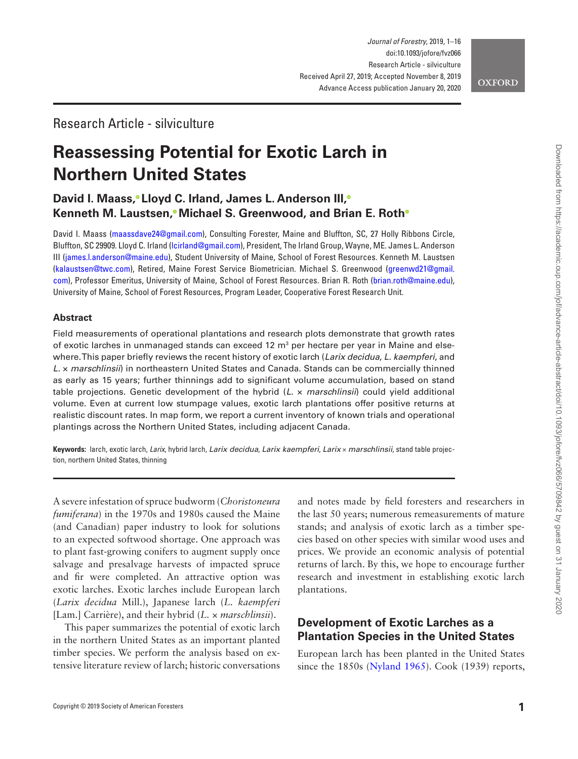

# Research Article - silviculture

# **Reassessing Potential for Exotic Larch in Northern United States**

# **David I. Maass[,](http://orcid.org/0000-0003-2929-069X) Lloyd C. Irland, James L. Anderson III[,](http://orcid.org/0000-0001-6541-4333) Kenneth M. Laustsen[,](http://orcid.org/0000-0001-7013-7342) Michael S. Greenwood, and Brian E. Rot[h](http://orcid.org/0000-0002-0510-1500)**

David I. Maass [\(maassdave24@gmail.com](mailto:maassdave24@gmail.com?subject=)), Consulting Forester, Maine and Bluffton, SC, 27 Holly Ribbons Circle, Bluffton, SC 29909. Lloyd C. Irland ([lcirland@gmail.com\)](mailto:lcirland@gmail.com?subject=), President, The Irland Group, Wayne, ME. James L. Anderson III [\(james.l.anderson@maine.edu](mailto:james.l.anderson@maine.edu?subject=)), Student University of Maine, School of Forest Resources. Kenneth M. Laustsen [\(kalaustsen@twc.com](mailto:kalaustsen@twc.com?subject=)), Retired, Maine Forest Service Biometrician. Michael S. Greenwood [\(greenwd21@gmail.](mailto:greenwd21@gmail.com?subject=) [com](mailto:greenwd21@gmail.com?subject=)), Professor Emeritus, University of Maine, School of Forest Resources. Brian R. Roth ([brian.roth@maine.edu](mailto:brian.roth@maine.edu?subject=)), University of Maine, School of Forest Resources, Program Leader, Cooperative Forest Research Unit.

#### **Abstract**

Field measurements of operational plantations and research plots demonstrate that growth rates of exotic larches in unmanaged stands can exceed 12  $m<sup>3</sup>$  per hectare per year in Maine and elsewhere. This paper briefly reviews the recent history of exotic larch (*Larix decidua*, *L. kaempferi*, and *L.* × *marschlinsii*) in northeastern United States and Canada. Stands can be commercially thinned as early as 15 years; further thinnings add to significant volume accumulation, based on stand table projections. Genetic development of the hybrid (*L.* × *marschlinsii*) could yield additional volume. Even at current low stumpage values, exotic larch plantations offer positive returns at realistic discount rates. In map form, we report a current inventory of known trials and operational plantings across the Northern United States, including adjacent Canada.

**Keywords:** larch, exotic larch, *Larix*, hybrid larch, *Larix decidua*, *Larix kaempferi*, *Larix* × *marschlinsii*, stand table projection, northern United States, thinning

A severe infestation of spruce budworm (*Choristoneura fumiferana*) in the 1970s and 1980s caused the Maine (and Canadian) paper industry to look for solutions to an expected softwood shortage. One approach was to plant fast-growing conifers to augment supply once salvage and presalvage harvests of impacted spruce and fir were completed. An attractive option was exotic larches. Exotic larches include European larch (*Larix decidua* Mill.), Japanese larch (*L. kaempferi* [Lam.] Carrière), and their hybrid (*L.* × *marschlinsii*).

This paper summarizes the potential of exotic larch in the northern United States as an important planted timber species. We perform the analysis based on extensive literature review of larch; historic conversations

and notes made by field foresters and researchers in the last 50 years; numerous remeasurements of mature stands; and analysis of exotic larch as a timber species based on other species with similar wood uses and prices. We provide an economic analysis of potential returns of larch. By this, we hope to encourage further research and investment in establishing exotic larch plantations.

# **Development of Exotic Larches as a Plantation Species in the United States**

European larch has been planted in the United States since the 1850s ([Nyland 1965\)](#page-14-0). Cook (1939) reports,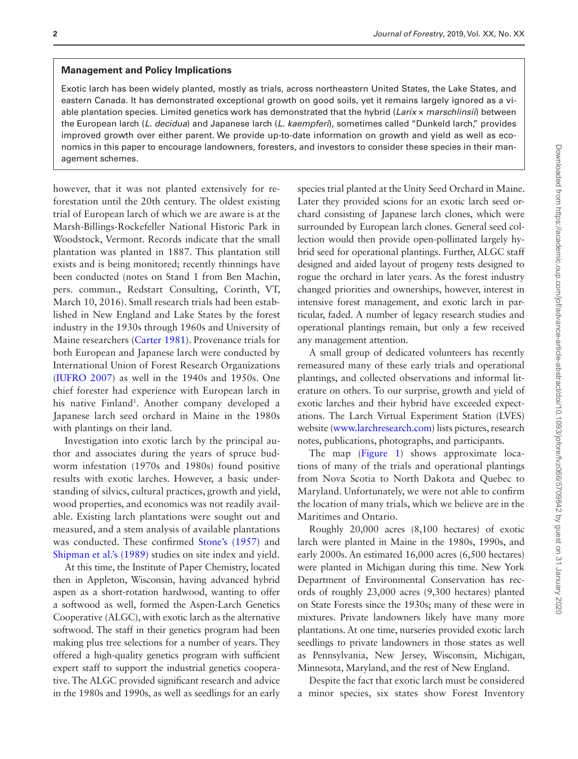#### **Management and Policy Implications**

Exotic larch has been widely planted, mostly as trials, across northeastern United States, the Lake States, and eastern Canada. It has demonstrated exceptional growth on good soils, yet it remains largely ignored as a viable plantation species. Limited genetics work has demonstrated that the hybrid (*Larix* × *marschlinsii*) between the European larch (*L. decidua*) and Japanese larch (*L. kaempferi*), sometimes called "Dunkeld larch," provides improved growth over either parent. We provide up-to-date information on growth and yield as well as economics in this paper to encourage landowners, foresters, and investors to consider these species in their management schemes.

however, that it was not planted extensively for reforestation until the 20th century. The oldest existing trial of European larch of which we are aware is at the Marsh-Billings-Rockefeller National Historic Park in Woodstock, Vermont. Records indicate that the small plantation was planted in 1887. This plantation still exists and is being monitored; recently thinnings have been conducted (notes on Stand 1 from Ben Machin, pers. commun., Redstart Consulting, Corinth, VT, March 10, 2016). Small research trials had been established in New England and Lake States by the forest industry in the 1930s through 1960s and University of Maine researchers ([Carter 1981](#page-13-0)). Provenance trials for both European and Japanese larch were conducted by International Union of Forest Research Organizations ([IUFRO 2007](#page-13-1)) as well in the 1940s and 1950s. One chief forester had experience with European larch in his native Finland<sup>1</sup>. Another company developed a Japanese larch seed orchard in Maine in the 1980s with plantings on their land.

Investigation into exotic larch by the principal author and associates during the years of spruce budworm infestation (1970s and 1980s) found positive results with exotic larches. However, a basic understanding of silvics, cultural practices, growth and yield, wood properties, and economics was not readily available. Existing larch plantations were sought out and measured, and a stem analysis of available plantations was conducted. These confirmed [Stone's \(1957\)](#page-14-1) and [Shipman et al.'s \(1989\)](#page-14-2) studies on site index and yield.

At this time, the Institute of Paper Chemistry, located then in Appleton, Wisconsin, having advanced hybrid aspen as a short-rotation hardwood, wanting to offer a softwood as well, formed the Aspen-Larch Genetics Cooperative (ALGC), with exotic larch as the alternative softwood. The staff in their genetics program had been making plus tree selections for a number of years. They offered a high-quality genetics program with sufficient expert staff to support the industrial genetics cooperative. The ALGC provided significant research and advice in the 1980s and 1990s, as well as seedlings for an early

species trial planted at the Unity Seed Orchard in Maine. Later they provided scions for an exotic larch seed orchard consisting of Japanese larch clones, which were surrounded by European larch clones. General seed collection would then provide open-pollinated largely hybrid seed for operational plantings. Further, ALGC staff designed and aided layout of progeny tests designed to rogue the orchard in later years. As the forest industry changed priorities and ownerships, however, interest in intensive forest management, and exotic larch in particular, faded. A number of legacy research studies and operational plantings remain, but only a few received any management attention.

A small group of dedicated volunteers has recently remeasured many of these early trials and operational plantings, and collected observations and informal literature on others. To our surprise, growth and yield of exotic larches and their hybrid have exceeded expectations. The Larch Virtual Experiment Station (LVES) website [\(www.larchresearch.com\)](http://www.larchresearch.com) lists pictures, research notes, publications, photographs, and participants.

The map [\(Figure 1](#page-2-0)) shows approximate locations of many of the trials and operational plantings from Nova Scotia to North Dakota and Quebec to Maryland. Unfortunately, we were not able to confirm the location of many trials, which we believe are in the Maritimes and Ontario.

Roughly 20,000 acres (8,100 hectares) of exotic larch were planted in Maine in the 1980s, 1990s, and early 2000s. An estimated 16,000 acres (6,500 hectares) were planted in Michigan during this time. New York Department of Environmental Conservation has records of roughly 23,000 acres (9,300 hectares) planted on State Forests since the 1930s; many of these were in mixtures. Private landowners likely have many more plantations. At one time, nurseries provided exotic larch seedlings to private landowners in those states as well as Pennsylvania, New Jersey, Wisconsin, Michigan, Minnesota, Maryland, and the rest of New England.

Despite the fact that exotic larch must be considered a minor species, six states show Forest Inventory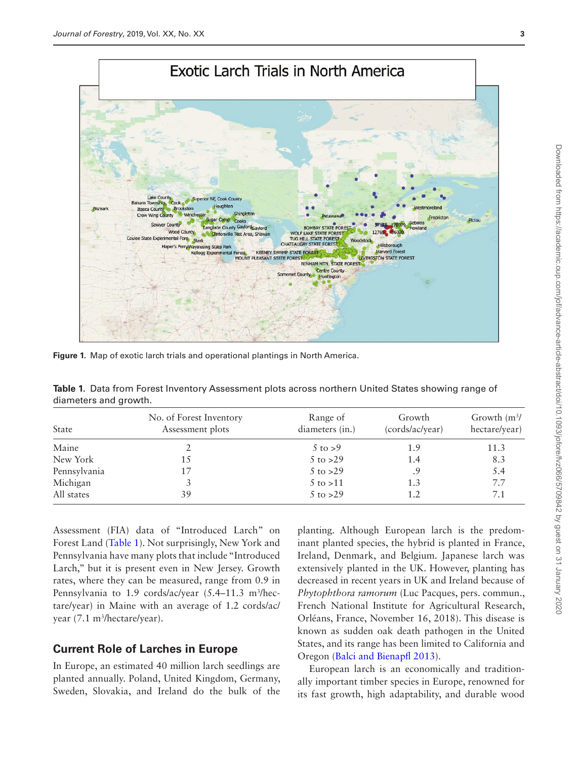

<span id="page-2-0"></span>**Figure 1.** Map of exotic larch trials and operational plantings in North America.

<span id="page-2-1"></span>**Table 1.** Data from Forest Inventory Assessment plots across northern United States showing range of diameters and growth.

| <b>State</b> | No. of Forest Inventory<br>Assessment plots | Range of<br>diameters (in.) | Growth<br>(cords/ac/year) | Growth $\rm (m^3/$<br>hectare/year) |
|--------------|---------------------------------------------|-----------------------------|---------------------------|-------------------------------------|
| Maine        |                                             | $5 \text{ to } > 9$         | 1.9                       | 11.3                                |
| New York     | 15                                          | $5$ to $>29$                | 1.4                       | 8.3                                 |
| Pennsylvania |                                             | $5$ to $>29$                | .9                        | 5.4                                 |
| Michigan     |                                             | $5 \text{ to } > 11$        | 1.3                       | 7.7                                 |
| All states   | 39                                          | $5$ to $>29$                | 1.2                       | 7.1                                 |

Assessment (FIA) data of "Introduced Larch" on Forest Land ([Table 1](#page-2-1)). Not surprisingly, New York and Pennsylvania have many plots that include "Introduced Larch," but it is present even in New Jersey. Growth rates, where they can be measured, range from 0.9 in Pennsylvania to 1.9 cords/ac/year (5.4–11.3 m<sup>3</sup>/hectare/year) in Maine with an average of 1.2 cords/ac/ year (7.1 m<sup>3</sup>/hectare/year).

## **Current Role of Larches in Europe**

In Europe, an estimated 40 million larch seedlings are planted annually. Poland, United Kingdom, Germany, Sweden, Slovakia, and Ireland do the bulk of the

planting. Although European larch is the predominant planted species, the hybrid is planted in France, Ireland, Denmark, and Belgium. Japanese larch was extensively planted in the UK. However, planting has decreased in recent years in UK and Ireland because of *Phytophthora ramorum* (Luc Pacques, pers. commun., French National Institute for Agricultural Research, Orléans, France, November 16, 2018). This disease is known as sudden oak death pathogen in the United States, and its range has been limited to California and Oregon ([Balci and Bienapfl 2013](#page-12-1)).

European larch is an economically and traditionally important timber species in Europe, renowned for its fast growth, high adaptability, and durable wood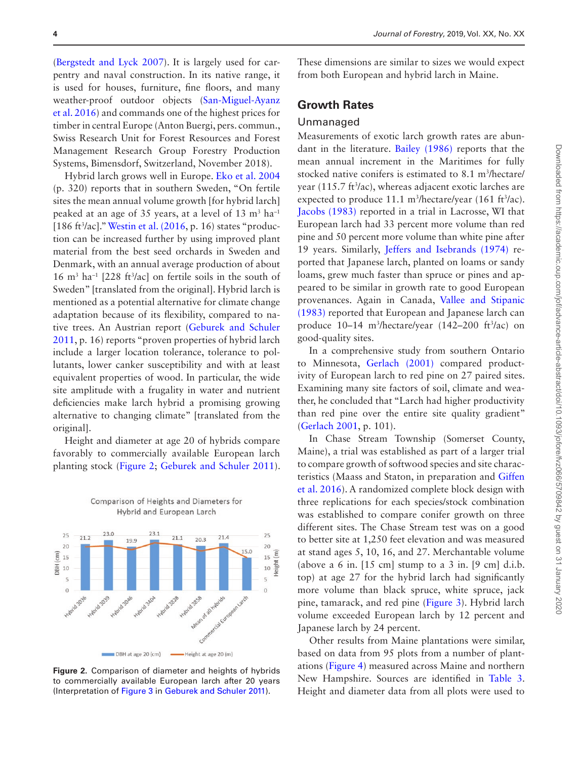([Bergstedt and Lyck 2007\)](#page-13-2). It is largely used for carpentry and naval construction. In its native range, it is used for houses, furniture, fine floors, and many weather-proof outdoor objects [\(San-Miguel-Ayanz](#page-14-3)  [et al. 2016](#page-14-3)) and commands one of the highest prices for timber in central Europe (Anton Buergi, pers. commun., Swiss Research Unit for Forest Resources and Forest Management Research Group Forestry Production Systems, Bimensdorf, Switzerland, November 2018).

Hybrid larch grows well in Europe. [Eko et al. 2004](#page-13-3) (p. 320) reports that in southern Sweden, "On fertile sites the mean annual volume growth [for hybrid larch] peaked at an age of 35 years, at a level of 13  $\text{m}^3$  ha<sup>-1</sup> [186 ft<sup>3</sup>/ac]." [Westin et al. \(2016](#page-15-0), p. 16) states "production can be increased further by using improved plant material from the best seed orchards in Sweden and Denmark, with an annual average production of about  $16 \text{ m}^3$  ha<sup>-1</sup> [228 ft<sup>3</sup>/ac] on fertile soils in the south of Sweden" [translated from the original]. Hybrid larch is mentioned as a potential alternative for climate change adaptation because of its flexibility, compared to native trees. An Austrian report ([Geburek and Schuler](#page-13-4)  [2011,](#page-13-4) p. 16) reports "proven properties of hybrid larch include a larger location tolerance, tolerance to pollutants, lower canker susceptibility and with at least equivalent properties of wood. In particular, the wide site amplitude with a frugality in water and nutrient deficiencies make larch hybrid a promising growing alternative to changing climate" [translated from the original].

Height and diameter at age 20 of hybrids compare favorably to commercially available European larch planting stock [\(Figure 2](#page-3-0); [Geburek and Schuler 2011\)](#page-13-4).

Comparison of Heights and Diameters for



<span id="page-3-0"></span>**Figure 2.** Comparison of diameter and heights of hybrids to commercially available European larch after 20 years (Interpretation of [Figure 3](#page-4-0) in [Geburek and Schuler 2011](#page-13-4)).

These dimensions are similar to sizes we would expect from both European and hybrid larch in Maine.

## **Growth Rates**

#### Unmanaged

Measurements of exotic larch growth rates are abundant in the literature. [Bailey \(1986\)](#page-13-5) reports that the mean annual increment in the Maritimes for fully stocked native conifers is estimated to 8.1 m<sup>3</sup>/hectare/ year (115.7 ft<sup>3</sup>/ac), whereas adjacent exotic larches are expected to produce  $11.1 \text{ m}^3$ /hectare/year (161 ft $\frac{3}{ac}$ ). [Jacobs \(1983\)](#page-13-6) reported in a trial in Lacrosse, WI that European larch had 33 percent more volume than red pine and 50 percent more volume than white pine after 19 years. Similarly, [Jeffers and Isebrands \(1974\)](#page-13-7) reported that Japanese larch, planted on loams or sandy loams, grew much faster than spruce or pines and appeared to be similar in growth rate to good European provenances. Again in Canada, [Vallee and Stipanic](#page-14-4)  [\(1983\)](#page-14-4) reported that European and Japanese larch can produce 10–14 m3 /hectare/year (142–200 ft3 /ac) on good-quality sites.

In a comprehensive study from southern Ontario to Minnesota, [Gerlach \(2001\)](#page-13-8) compared productivity of European larch to red pine on 27 paired sites. Examining many site factors of soil, climate and weather, he concluded that "Larch had higher productivity than red pine over the entire site quality gradient" ([Gerlach 2001,](#page-13-8) p. 101).

In Chase Stream Township (Somerset County, Maine), a trial was established as part of a larger trial to compare growth of softwood species and site characteristics (Maass and Staton, in preparation and [Giffen](#page-13-9)  [et al. 2016](#page-13-9)). A randomized complete block design with three replications for each species/stock combination was established to compare conifer growth on three different sites. The Chase Stream test was on a good to better site at 1,250 feet elevation and was measured at stand ages 5, 10, 16, and 27. Merchantable volume (above a 6 in.  $[15 \text{ cm}]$  stump to a 3 in.  $[9 \text{ cm}]$  d.i.b. top) at age 27 for the hybrid larch had significantly more volume than black spruce, white spruce, jack pine, tamarack, and red pine [\(Figure 3](#page-4-0)). Hybrid larch volume exceeded European larch by 12 percent and Japanese larch by 24 percent.

Other results from Maine plantations were similar, based on data from 95 plots from a number of plantations ([Figure 4](#page-4-1)) measured across Maine and northern New Hampshire. Sources are identified in [Table 3](#page-5-0). Height and diameter data from all plots were used to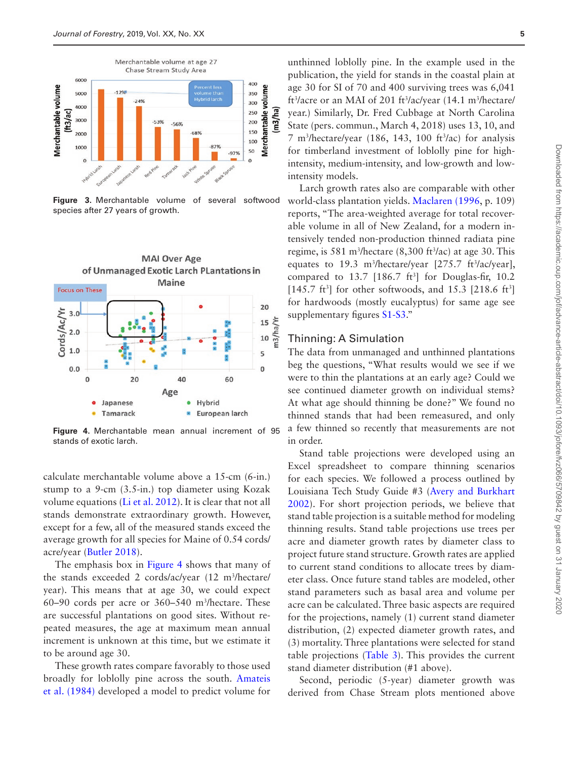

<span id="page-4-0"></span>**Figure 3.** Merchantable volume of several softwood species after 27 years of growth.



<span id="page-4-1"></span>**Figure 4.** Merchantable mean annual increment of 95 stands of exotic larch.

calculate merchantable volume above a 15-cm (6-in.) stump to a 9-cm (3.5-in.) top diameter using Kozak volume equations [\(Li et al. 2012](#page-13-10)). It is clear that not all stands demonstrate extraordinary growth. However, except for a few, all of the measured stands exceed the average growth for all species for Maine of 0.54 cords/ acre/year ([Butler 2018\)](#page-13-11).

The emphasis box in [Figure 4](#page-4-1) shows that many of the stands exceeded 2 cords/ac/year (12 m3 /hectare/ year). This means that at age 30, we could expect  $60-90$  cords per acre or  $360-540$  m<sup>3</sup>/hectare. These are successful plantations on good sites. Without repeated measures, the age at maximum mean annual increment is unknown at this time, but we estimate it to be around age 30.

These growth rates compare favorably to those used broadly for loblolly pine across the south. [Amateis](#page-12-2)  [et al. \(1984\)](#page-12-2) developed a model to predict volume for

unthinned loblolly pine. In the example used in the publication, the yield for stands in the coastal plain at age 30 for SI of 70 and 400 surviving trees was 6,041 ft<sup>3</sup>/acre or an MAI of 201 ft<sup>3</sup>/ac/year (14.1 m<sup>3</sup>/hectare/ year.) Similarly, Dr. Fred Cubbage at North Carolina State (pers. commun., March 4, 2018) uses 13, 10, and  $7 \text{ m}^3$ /hectare/year (186, 143, 100 ft $^3$ /ac) for analysis for timberland investment of loblolly pine for highintensity, medium-intensity, and low-growth and lowintensity models.

Larch growth rates also are comparable with other world-class plantation yields. [Maclaren \(1996](#page-14-5), p. 109) reports, "The area-weighted average for total recoverable volume in all of New Zealand, for a modern intensively tended non-production thinned radiata pine regime, is 581 m<sup>3</sup>/hectare  $(8,300 \text{ ft}^3/\text{ac})$  at age 30. This equates to 19.3 m<sup>3</sup>/hectare/year  $[275.7 \text{ ft}^3/\text{ac/year}]$ , compared to  $13.7$  [186.7 ft<sup>3</sup>] for Douglas-fir, 10.2  $[145.7 \text{ ft}^3]$  for other softwoods, and 15.3 [218.6 ft<sup>3</sup>] for hardwoods (mostly eucalyptus) for same age see supplementary figures [S1-S3](https://academic.oup.com/jof/article-lookup/doi/10.1093/jofore/fvz066#supplementary-data)."

#### Thinning: A Simulation

The data from unmanaged and unthinned plantations beg the questions, "What results would we see if we were to thin the plantations at an early age? Could we see continued diameter growth on individual stems? At what age should thinning be done?" We found no thinned stands that had been remeasured, and only a few thinned so recently that measurements are not in order.

Stand table projections were developed using an Excel spreadsheet to compare thinning scenarios for each species. We followed a process outlined by Louisiana Tech Study Guide #3 [\(Avery and Burkhart](#page-12-3)  [2002\)](#page-12-3). For short projection periods, we believe that stand table projection is a suitable method for modeling thinning results. Stand table projections use trees per acre and diameter growth rates by diameter class to project future stand structure. Growth rates are applied to current stand conditions to allocate trees by diameter class. Once future stand tables are modeled, other stand parameters such as basal area and volume per acre can be calculated. Three basic aspects are required for the projections, namely (1) current stand diameter distribution, (2) expected diameter growth rates, and (3) mortality. Three plantations were selected for stand table projections ([Table 3\)](#page-5-0). This provides the current stand diameter distribution (#1 above).

Second, periodic (5-year) diameter growth was derived from Chase Stream plots mentioned above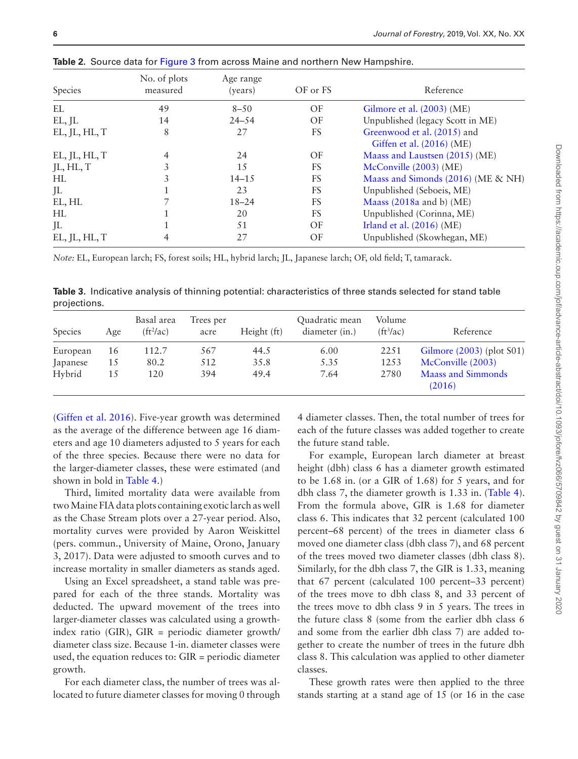| Species       | No. of plots<br>measured | Age range<br>(years) | OF or FS  | Reference                                                |
|---------------|--------------------------|----------------------|-----------|----------------------------------------------------------|
| EL            | 49                       | $8 - 50$             | OF        | Gilmore et al. (2003) (ME)                               |
| EL, JL        | 14                       | $24 - 54$            | OF        | Unpublished (legacy Scott in ME)                         |
| EL, JL, HL, T | 8                        | 27                   | FS        | Greenwood et al. (2015) and<br>Giffen et al. (2016) (ME) |
| EL, JL, HL, T |                          | 24                   | OF        | Maass and Laustsen (2015) (ME)                           |
| JL, HL, T     | 3                        | 15                   | <b>FS</b> | McConville (2003) (ME)                                   |
| HL            |                          | $14 - 15$            | <b>FS</b> | Maass and Simonds (2016) (ME & NH)                       |
| JL            |                          | 23                   | FS        | Unpublished (Seboeis, ME)                                |
| EL, HL        |                          | $18 - 24$            | <b>FS</b> | Maass $(2018a$ and b) (ME)                               |
| HL            |                          | 20                   | <b>FS</b> | Unpublished (Corinna, ME)                                |
| JL            |                          | 51                   | OF        | Irland et al. $(2016)$ (ME)                              |
| EL, JL, HL, T |                          | 27                   | OF        | Unpublished (Skowhegan, ME)                              |

**Table 2.** Source data for [Figure 3](#page-4-0) from across Maine and northern New Hampshire.

*Note:* EL, European larch; FS, forest soils; HL, hybrid larch; JL, Japanese larch; OF, old field; T, tamarack.

<span id="page-5-0"></span>**Table 3.** Indicative analysis of thinning potential: characteristics of three stands selected for stand table projections.

| Species  | Age | Basal area<br>(ft <sup>2</sup> /ac) | Trees per<br>acre | Height (ft) | Quadratic mean<br>diameter (in.) | Volume<br>$(ft^3/ac)$ | Reference                    |
|----------|-----|-------------------------------------|-------------------|-------------|----------------------------------|-----------------------|------------------------------|
| European | 16  | 112.7                               | 567               | 44.5        | 6.00                             | 2251                  | Gilmore $(2003)$ (plot S01)  |
| Japanese | 15  | 80.2                                | 512               | 35.8        | 5.35                             | 1253                  | McConville (2003)            |
| Hybrid   | 15  | 120                                 | 394               | 49.4        | 7.64                             | 2780                  | Maass and Simmonds<br>(2016) |

([Giffen et al. 2016\)](#page-13-9). Five-year growth was determined as the average of the difference between age 16 diameters and age 10 diameters adjusted to 5 years for each of the three species. Because there were no data for the larger-diameter classes, these were estimated (and shown in bold in [Table 4.](#page-6-0))

Third, limited mortality data were available from two Maine FIA data plots containing exotic larch as well as the Chase Stream plots over a 27-year period. Also, mortality curves were provided by Aaron Weiskittel (pers. commun., University of Maine, Orono, January 3, 2017). Data were adjusted to smooth curves and to increase mortality in smaller diameters as stands aged.

Using an Excel spreadsheet, a stand table was prepared for each of the three stands. Mortality was deducted. The upward movement of the trees into larger-diameter classes was calculated using a growthindex ratio (GIR), GIR = periodic diameter growth/ diameter class size. Because 1-in. diameter classes were used, the equation reduces to: GIR = periodic diameter growth.

For each diameter class, the number of trees was allocated to future diameter classes for moving 0 through

4 diameter classes. Then, the total number of trees for each of the future classes was added together to create the future stand table.

For example, European larch diameter at breast height (dbh) class 6 has a diameter growth estimated to be 1.68 in. (or a GIR of 1.68) for 5 years, and for dbh class 7, the diameter growth is 1.33 in. ([Table 4\)](#page-6-0). From the formula above, GIR is 1.68 for diameter class 6. This indicates that 32 percent (calculated 100 percent–68 percent) of the trees in diameter class 6 moved one diameter class (dbh class 7), and 68 percent of the trees moved two diameter classes (dbh class 8). Similarly, for the dbh class 7, the GIR is 1.33, meaning that 67 percent (calculated 100 percent–33 percent) of the trees move to dbh class 8, and 33 percent of the trees move to dbh class 9 in 5 years. The trees in the future class 8 (some from the earlier dbh class 6 and some from the earlier dbh class 7) are added together to create the number of trees in the future dbh class 8. This calculation was applied to other diameter classes.

These growth rates were then applied to the three stands starting at a stand age of 15 (or 16 in the case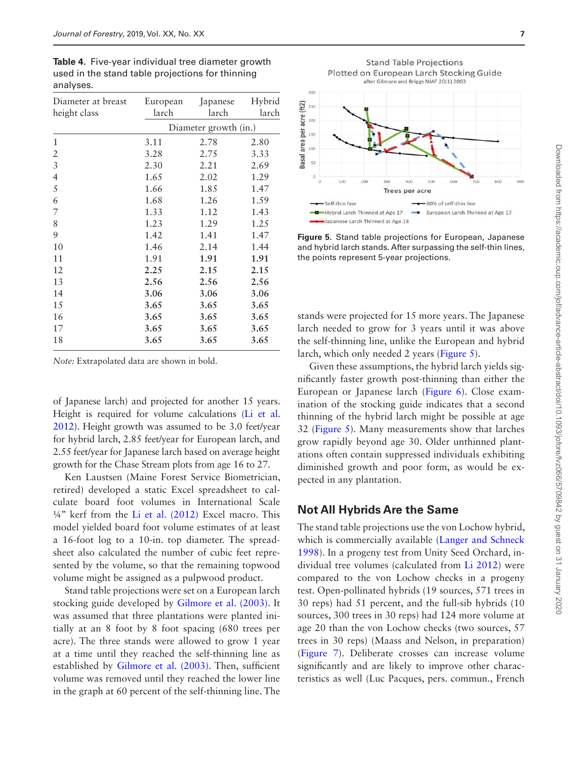<span id="page-6-0"></span>**Table 4.** Five-year individual tree diameter growth used in the stand table projections for thinning analyses.

| Diameter at breast<br>height class | European<br>larch | Japanese<br>larch     | Hybrid<br>larch |
|------------------------------------|-------------------|-----------------------|-----------------|
|                                    |                   | Diameter growth (in.) |                 |
| 1                                  | 3.11              | 2.78                  | 2.80            |
| 2                                  | 3.28              | 2.75                  | 3.33            |
| 3                                  | 2.30              | 2.21                  | 2.69            |
| $\overline{4}$                     | 1.65              | 2.02                  | 1.29            |
| 5                                  | 1.66              | 1.85                  | 1.47            |
| 6                                  | 1.68              | 1.26                  | 1.59            |
| 7                                  | 1.33              | 1.12                  | 1.43            |
| 8                                  | 1.23              | 1.29                  | 1.25            |
| 9                                  | 1.42              | 1.41                  | 1.47            |
| 10                                 | 1.46              | 2.14                  | 1.44            |
| 11                                 | 1.91              | 1.91                  | 1.91            |
| 12                                 | 2.25              | 2.15                  | 2.15            |
| 13                                 | 2.56              | 2.56                  | 2.56            |
| 14                                 | 3.06              | 3.06                  | 3.06            |
| 15                                 | 3.65              | 3.65                  | 3.65            |
| 16                                 | 3.65              | 3.65                  | 3.65            |
| 17                                 | 3.65              | 3.65                  | 3.65            |
| 18                                 | 3.65              | 3.65                  | 3.65            |

*Note:* Extrapolated data are shown in bold.

of Japanese larch) and projected for another 15 years. Height is required for volume calculations [\(Li et al.](#page-13-10)  [2012](#page-13-10)). Height growth was assumed to be 3.0 feet/year for hybrid larch, 2.85 feet/year for European larch, and 2.55 feet/year for Japanese larch based on average height growth for the Chase Stream plots from age 16 to 27.

Ken Laustsen (Maine Forest Service Biometrician, retired) developed a static Excel spreadsheet to calculate board foot volumes in International Scale ¼" kerf from the [Li et al. \(2012\)](#page-13-10) Excel macro. This model yielded board foot volume estimates of at least a 16-foot log to a 10-in. top diameter. The spreadsheet also calculated the number of cubic feet represented by the volume, so that the remaining topwood volume might be assigned as a pulpwood product.

Stand table projections were set on a European larch stocking guide developed by [Gilmore et al. \(2003\).](#page-13-12) It was assumed that three plantations were planted initially at an 8 foot by 8 foot spacing (680 trees per acre). The three stands were allowed to grow 1 year at a time until they reached the self-thinning line as established by [Gilmore et al. \(2003\).](#page-13-12) Then, sufficient volume was removed until they reached the lower line in the graph at 60 percent of the self-thinning line. The

**Stand Table Projections** Plotted on European Larch Stocking Guide after Gilmore and Briggs NJAF 20(1) 2003  $300$  $(ft2)$  $250$ area per acre  $200$ 150  $100$ **Basal** 50  $10<sup>2</sup>$ **Trees per acre** 60% of self-thin line Self-thin line

**Figure 5.** Stand table projections for European, Japanese and hybrid larch stands. After surpassing the self-thin lines, the points represent 5-year projections.

European Larch Thinned at Age 17

<span id="page-6-1"></span>-Hybrid Larch Thinned at Age 17

Japanese Larch Thinned at Age 18

stands were projected for 15 more years. The Japanese larch needed to grow for 3 years until it was above the self-thinning line, unlike the European and hybrid larch, which only needed 2 years ([Figure 5](#page-6-1)).

Given these assumptions, the hybrid larch yields significantly faster growth post-thinning than either the European or Japanese larch [\(Figure 6](#page-7-0)). Close examination of the stocking guide indicates that a second thinning of the hybrid larch might be possible at age 32 ([Figure 5\)](#page-6-1). Many measurements show that larches grow rapidly beyond age 30. Older unthinned plantations often contain suppressed individuals exhibiting diminished growth and poor form, as would be expected in any plantation.

#### **Not All Hybrids Are the Same**

The stand table projections use the von Lochow hybrid, which is commercially available ([Langer and Schneck](#page-13-15)  [1998\)](#page-13-15). In a progeny test from Unity Seed Orchard, individual tree volumes (calculated from [Li 2012](#page-13-10)) were compared to the von Lochow checks in a progeny test. Open-pollinated hybrids (19 sources, 571 trees in 30 reps) had 51 percent, and the full-sib hybrids (10 sources, 300 trees in 30 reps) had 124 more volume at age 20 than the von Lochow checks (two sources, 57 trees in 30 reps) (Maass and Nelson, in preparation) ([Figure 7\)](#page-7-1). Deliberate crosses can increase volume significantly and are likely to improve other characteristics as well (Luc Pacques, pers. commun., French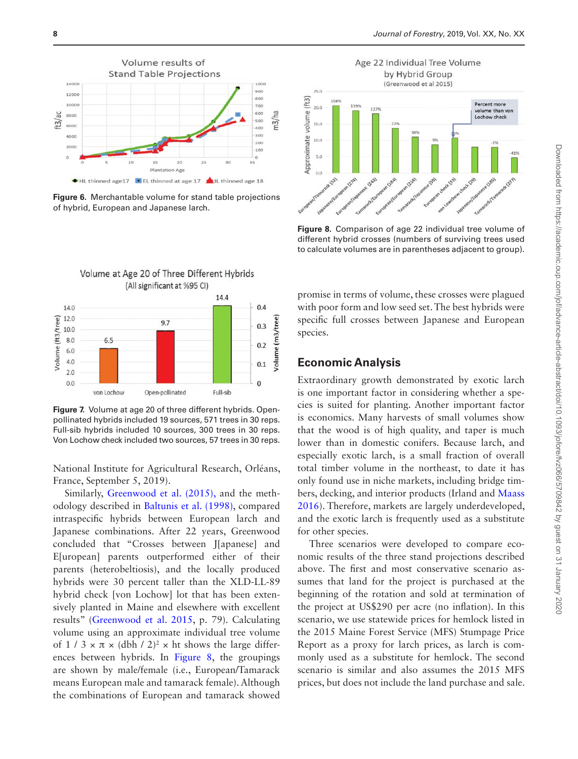

<span id="page-7-0"></span>**Figure 6.** Merchantable volume for stand table projections of hybrid, European and Japanese larch.



<span id="page-7-2"></span>**Figure 8.** Comparison of age 22 individual tree volume of different hybrid crosses (numbers of surviving trees used to calculate volumes are in parentheses adjacent to group).



<span id="page-7-1"></span>**Figure 7.** Volume at age 20 of three different hybrids. Openpollinated hybrids included 19 sources, 571 trees in 30 reps. Full-sib hybrids included 10 sources, 300 trees in 30 reps. Von Lochow check included two sources, 57 trees in 30 reps.

National Institute for Agricultural Research, Orléans, France, September 5, 2019).

Similarly, [Greenwood et al. \(2015\),](#page-13-13) and the methodology described in [Baltunis et al. \(1998\)](#page-13-16), compared intraspecific hybrids between European larch and Japanese combinations. After 22 years, Greenwood concluded that "Crosses between J[apanese] and E[uropean] parents outperformed either of their parents (heterobeltiosis), and the locally produced hybrids were 30 percent taller than the XLD-LL-89 hybrid check [von Lochow] lot that has been extensively planted in Maine and elsewhere with excellent results" ([Greenwood et al. 2015,](#page-13-13) p. 79). Calculating volume using an approximate individual tree volume of 1 / 3  $\times \pi \times$  (dbh / 2)<sup>2</sup>  $\times$  ht shows the large differences between hybrids. In [Figure 8](#page-7-2), the groupings are shown by male/female (i.e., European/Tamarack means European male and tamarack female). Although the combinations of European and tamarack showed

promise in terms of volume, these crosses were plagued with poor form and low seed set. The best hybrids were specific full crosses between Japanese and European species.

## **Economic Analysis**

Extraordinary growth demonstrated by exotic larch is one important factor in considering whether a species is suited for planting. Another important factor is economics. Many harvests of small volumes show that the wood is of high quality, and taper is much lower than in domestic conifers. Because larch, and especially exotic larch, is a small fraction of overall total timber volume in the northeast, to date it has only found use in niche markets, including bridge timbers, decking, and interior products (Irland and [Maass](#page-14-7)  [2016\)](#page-14-7). Therefore, markets are largely underdeveloped, and the exotic larch is frequently used as a substitute for other species.

Three scenarios were developed to compare economic results of the three stand projections described above. The first and most conservative scenario assumes that land for the project is purchased at the beginning of the rotation and sold at termination of the project at US\$290 per acre (no inflation). In this scenario, we use statewide prices for hemlock listed in the 2015 Maine Forest Service (MFS) Stumpage Price Report as a proxy for larch prices, as larch is commonly used as a substitute for hemlock. The second scenario is similar and also assumes the 2015 MFS prices, but does not include the land purchase and sale.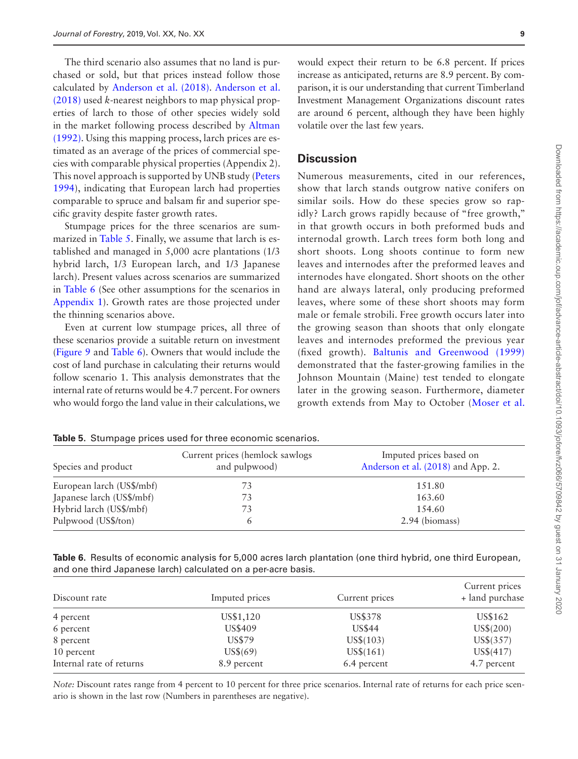The third scenario also assumes that no land is purchased or sold, but that prices instead follow those calculated by [Anderson et al. \(2018\).](#page-12-4) [Anderson et al.](#page-12-4)  [\(2018\)](#page-12-4) used *k*-nearest neighbors to map physical properties of larch to those of other species widely sold in the market following process described by [Altman](#page-12-5)  [\(1992\).](#page-12-5) Using this mapping process, larch prices are estimated as an average of the prices of commercial species with comparable physical properties (Appendix 2). This novel approach is supported by UNB study [\(Peters](#page-14-10)  [1994\)](#page-14-10), indicating that European larch had properties comparable to spruce and balsam fir and superior specific gravity despite faster growth rates.

Stumpage prices for the three scenarios are summarized in [Table 5.](#page-8-0) Finally, we assume that larch is established and managed in 5,000 acre plantations (1/3 hybrid larch, 1/3 European larch, and 1/3 Japanese larch). Present values across scenarios are summarized in [Table 6](#page-8-1) (See other assumptions for the scenarios in [Appendix 1\)](#page-12-6). Growth rates are those projected under the thinning scenarios above.

Even at current low stumpage prices, all three of these scenarios provide a suitable return on investment ([Figure 9](#page-9-0) and [Table 6\)](#page-8-1). Owners that would include the cost of land purchase in calculating their returns would follow scenario 1. This analysis demonstrates that the internal rate of returns would be 4.7 percent. For owners who would forgo the land value in their calculations, we

would expect their return to be 6.8 percent. If prices increase as anticipated, returns are 8.9 percent. By comparison, it is our understanding that current Timberland Investment Management Organizations discount rates are around 6 percent, although they have been highly volatile over the last few years.

#### **Discussion**

Numerous measurements, cited in our references, show that larch stands outgrow native conifers on similar soils. How do these species grow so rapidly? Larch grows rapidly because of "free growth," in that growth occurs in both preformed buds and internodal growth. Larch trees form both long and short shoots. Long shoots continue to form new leaves and internodes after the preformed leaves and internodes have elongated. Short shoots on the other hand are always lateral, only producing preformed leaves, where some of these short shoots may form male or female strobili. Free growth occurs later into the growing season than shoots that only elongate leaves and internodes preformed the previous year (fixed growth). [Baltunis and Greenwood \(1999\)](#page-13-17) demonstrated that the faster-growing families in the Johnson Mountain (Maine) test tended to elongate later in the growing season. Furthermore, diameter growth extends from May to October ([Moser et al.](#page-14-11) 

| Species and product       | Current prices (hemlock sawlogs)<br>and pulpwood) | Imputed prices based on<br>Anderson et al. (2018) and App. 2. |  |
|---------------------------|---------------------------------------------------|---------------------------------------------------------------|--|
| European larch (US\$/mbf) | 73                                                | 151.80                                                        |  |
| Japanese larch (US\$/mbf) | 73                                                | 163.60                                                        |  |
| Hybrid larch (US\$/mbf)   | 73                                                | 1.54.60                                                       |  |
| Pulpwood (US\$/ton)       | 6                                                 | 2.94 (biomass)                                                |  |

<span id="page-8-0"></span>**Table 5.** Stumpage prices used for three economic scenarios.

<span id="page-8-1"></span>**Table 6.** Results of economic analysis for 5,000 acres larch plantation (one third hybrid, one third European, and one third Japanese larch) calculated on a per-acre basis.

| Discount rate            | Imputed prices | Current prices | Current prices<br>+ land purchase |
|--------------------------|----------------|----------------|-----------------------------------|
| 4 percent                | US\$1,120      | US\$378        | US\$162                           |
| 6 percent                | US\$409        | <b>US\$44</b>  | US\$(200)                         |
| 8 percent                | US\$79         | $US\$(103)$    | $US\$(357)$                       |
| 10 percent               | $US\$(69)$     | $US\$(161)$    | $US\$(417)$                       |
| Internal rate of returns | 8.9 percent    | 6.4 percent    | 4.7 percent                       |

*Note:* Discount rates range from 4 percent to 10 percent for three price scenarios. Internal rate of returns for each price scenario is shown in the last row (Numbers in parentheses are negative).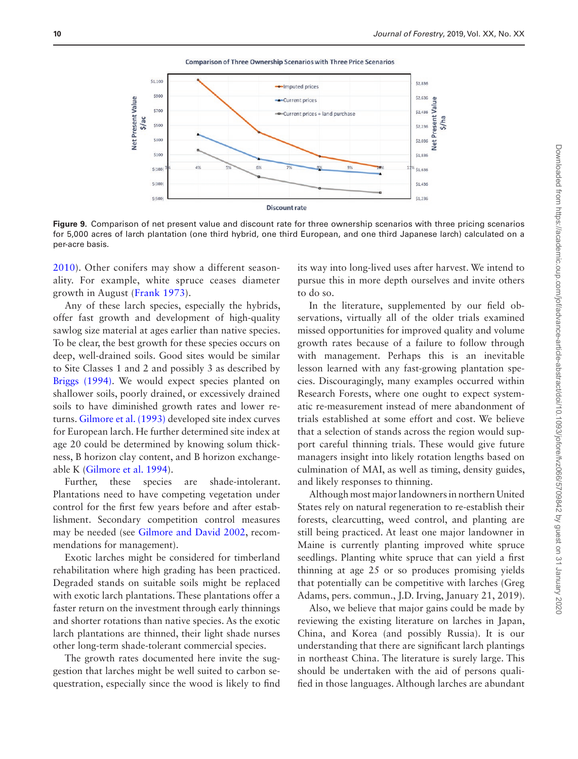**Comparison of Three Ownership Scenarios with Three Price Scenarios** 



**Figure 9.** Comparison of net present value and discount rate for three ownership scenarios with three pricing scenarios for 5,000 acres of larch plantation (one third hybrid, one third European, and one third Japanese larch) calculated on a per-acre basis.

[2010](#page-14-11)). Other conifers may show a different seasonality. For example, white spruce ceases diameter growth in August ([Frank 1973\)](#page-13-18).

Any of these larch species, especially the hybrids, offer fast growth and development of high-quality sawlog size material at ages earlier than native species. To be clear, the best growth for these species occurs on deep, well-drained soils. Good sites would be similar to Site Classes 1 and 2 and possibly 3 as described by [Briggs \(1994\)](#page-13-19). We would expect species planted on shallower soils, poorly drained, or excessively drained soils to have diminished growth rates and lower returns. [Gilmore et al. \(1993\)](#page-13-20) developed site index curves for European larch. He further determined site index at age 20 could be determined by knowing solum thickness, B horizon clay content, and B horizon exchangeable K ([Gilmore et al. 1994\)](#page-13-21).

Further, these species are shade-intolerant. Plantations need to have competing vegetation under control for the first few years before and after establishment. Secondary competition control measures may be needed (see [Gilmore and David 2002,](#page-13-22) recommendations for management).

Exotic larches might be considered for timberland rehabilitation where high grading has been practiced. Degraded stands on suitable soils might be replaced with exotic larch plantations. These plantations offer a faster return on the investment through early thinnings and shorter rotations than native species. As the exotic larch plantations are thinned, their light shade nurses other long-term shade-tolerant commercial species.

The growth rates documented here invite the suggestion that larches might be well suited to carbon sequestration, especially since the wood is likely to find

<span id="page-9-0"></span>its way into long-lived uses after harvest. We intend to pursue this in more depth ourselves and invite others to do so.

In the literature, supplemented by our field observations, virtually all of the older trials examined missed opportunities for improved quality and volume growth rates because of a failure to follow through with management. Perhaps this is an inevitable lesson learned with any fast-growing plantation species. Discouragingly, many examples occurred within Research Forests, where one ought to expect systematic re-measurement instead of mere abandonment of trials established at some effort and cost. We believe that a selection of stands across the region would support careful thinning trials. These would give future managers insight into likely rotation lengths based on culmination of MAI, as well as timing, density guides, and likely responses to thinning.

Although most major landowners in northern United States rely on natural regeneration to re-establish their forests, clearcutting, weed control, and planting are still being practiced. At least one major landowner in Maine is currently planting improved white spruce seedlings. Planting white spruce that can yield a first thinning at age 25 or so produces promising yields that potentially can be competitive with larches (Greg Adams, pers. commun., J.D. Irving, January 21, 2019).

Also, we believe that major gains could be made by reviewing the existing literature on larches in Japan, China, and Korea (and possibly Russia). It is our understanding that there are significant larch plantings in northeast China. The literature is surely large. This should be undertaken with the aid of persons qualified in those languages. Although larches are abundant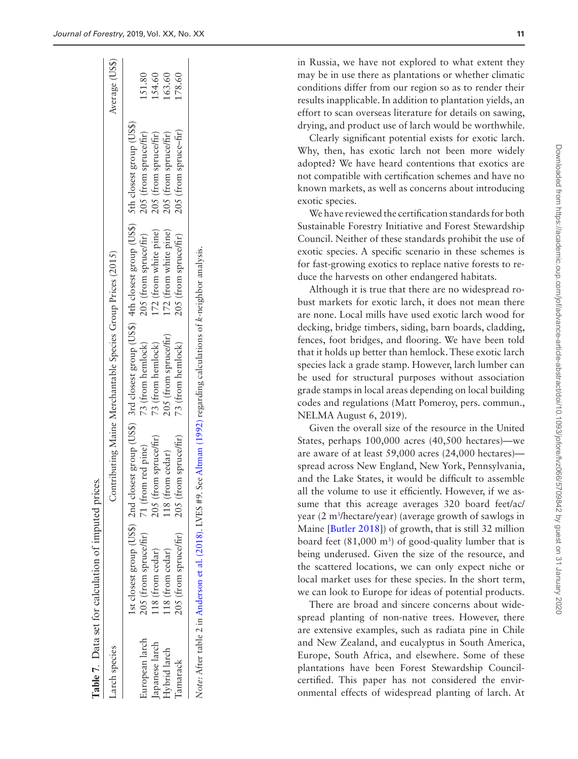$154.60$ 51.80

[63.60] 78.60

<span id="page-10-0"></span>**Table 7** .

Data set for calculation of imputed prices.

Average (US\$) Larch species Contributing Maine Merchantable Species Group Prices (2015) Average (US\$) European larch 205 (from spruce/fir) 71 (from red pine) 73 (from hemlock) 205 (from spruce/fir) 205 (from spruce/fir) 151.80 Japanese larch 118 (from cedar) 205 (from spruce/fir) 73 (from hemlock) 172 (from white pine) 205 (from spruce/fir) 154.60 Hybrid larch 118 (from cedar) 118 (from cedar) 205 (from spruce/fir) 172 (from white pine) 205 (from spruce/fir) 163.60 Tamarack 205 (from spruce/fir) 205 (from spruce/fir) 73 (from hemlock) 205 (from spruce/fir) 205 (from spruce–fir) 178.60 group (US\$) 1st closest group (US\$) 2nd closest group (US\$) 3rd closest group (US\$) 4th closest group (US\$) 5th closest group (US\$) 205 (from spruce-fir) 205 (from spruce/fir) 205 (from spruce/fir) 205 (from spruce/fir) 5th closest 4th closest group (US\$) 172 (from white pine) 172 (from white pine) 205 (from spruce/fir) 205 (from spruce/fir) *Note:* After table 2 in [Anderson et al. \(2018\)](#page-12-4). LVES #9. See [Altman \(1992\)](#page-12-5) regarding calculations of *k*-neighbor analysis. Note: After table 2 in Anderson et al. (2018). LVES #9. See Altman (1992) regarding calculations of k-neighbor analysis Contributing Maine Merchantable Species Group Prices (2015) 3rd closest group (US\$) 205 (from spruce/fir) 73 (from hemlock) 73 (from hemlock) 73 (from hemlock) 2nd closest group (US\$) 205 (from spruce/fir) 205 (from spruce/fir) 71 (from red pine) 118 (from cedar) 1st closest group (US\$) 205 (from spruce/fir) 205 (from spruce/fir) 118 (from cedar) 118 (from cedar) European larch apanese larch Larch species Hybrid larch **Tamarack** 

in Russia, we have not explored to what extent they may be in use there as plantations or whether climatic conditions differ from our region so as to render their results inapplicable. In addition to plantation yields, an effort to scan overseas literature for details on sawing, drying, and product use of larch would be worthwhile.

Clearly significant potential exists for exotic larch. Why, then, has exotic larch not been more widely adopted? We have heard contentions that exotics are not compatible with certification schemes and have no known markets, as well as concerns about introducing exotic species.

We have reviewed the certification standards for both Sustainable Forestry Initiative and Forest Stewardship Council. Neither of these standards prohibit the use of exotic species. A specific scenario in these schemes is for fast-growing exotics to replace native forests to reduce the harvests on other endangered habitats.

Although it is true that there are no widespread ro bust markets for exotic larch, it does not mean there are none. Local mills have used exotic larch wood for decking, bridge timbers, siding, barn boards, cladding, fences, foot bridges, and flooring. We have been told that it holds up better than hemlock. These exotic larch species lack a grade stamp. However, larch lumber can be used for structural purposes without association grade stamps in local areas depending on local building codes and regulations (Matt Pomeroy, pers. commun., NELMA August 6, 2019).

Given the overall size of the resource in the United States, perhaps 100,000 acres (40,500 hectares)—we are aware of at least 59,000 acres (24,000 hectares) spread across New England, New York, Pennsylvania, and the Lake States, it would be difficult to assemble all the volume to use it efficiently. However, if we as sume that this acreage averages 320 board feet/ac/ year (2 m 3 /hectare/year) (average growth of sawlogs in Maine [\[Butler 2018\]](#page-13-11)) of growth, that is still 32 million board feet  $(81,000 \text{ m}^3)$  of good-quality lumber that is being underused. Given the size of the resource, and the scattered locations, we can only expect niche or local market uses for these species. In the short term, we can look to Europe for ideas of potential products.

There are broad and sincere concerns about widespread planting of non-native trees. However, there are extensive examples, such as radiata pine in Chile and New Zealand, and eucalyptus in South America, Europe, South Africa, and elsewhere. Some of these plantations have been Forest Stewardship Councilcertified. This paper has not considered the environmental effects of widespread planting of larch. At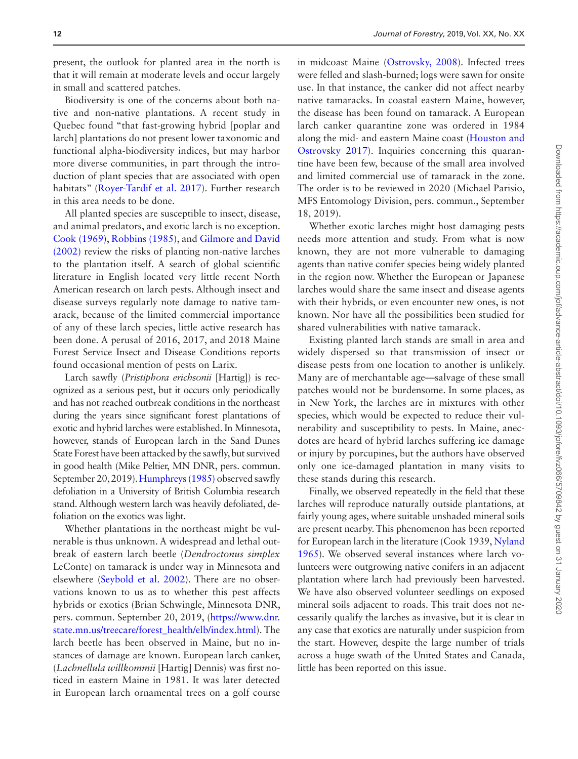present, the outlook for planted area in the north is that it will remain at moderate levels and occur largely in small and scattered patches.

Biodiversity is one of the concerns about both native and non-native plantations. A recent study in Quebec found "that fast-growing hybrid [poplar and larch] plantations do not present lower taxonomic and functional alpha-biodiversity indices, but may harbor more diverse communities, in part through the introduction of plant species that are associated with open habitats" ([Royer-Tardif et al. 2017\)](#page-14-12). Further research in this area needs to be done.

All planted species are susceptible to insect, disease, and animal predators, and exotic larch is no exception. [Cook \(1969\),](#page-13-23) [Robbins \(1985\)](#page-14-13), and [Gilmore and David](#page-13-22)  [\(2002\)](#page-13-22) review the risks of planting non-native larches to the plantation itself. A search of global scientific literature in English located very little recent North American research on larch pests. Although insect and disease surveys regularly note damage to native tamarack, because of the limited commercial importance of any of these larch species, little active research has been done. A perusal of 2016, 2017, and 2018 Maine Forest Service Insect and Disease Conditions reports found occasional mention of pests on Larix.

Larch sawfly (*Pristiphora erichsonii* [Hartig]) is recognized as a serious pest, but it occurs only periodically and has not reached outbreak conditions in the northeast during the years since significant forest plantations of exotic and hybrid larches were established. In Minnesota, however, stands of European larch in the Sand Dunes State Forest have been attacked by the sawfly, but survived in good health (Mike Peltier, MN DNR, pers. commun. September 20, 2019). [Humphreys \(1985\)](#page-13-24) observed sawfly defoliation in a University of British Columbia research stand. Although western larch was heavily defoliated, defoliation on the exotics was light.

Whether plantations in the northeast might be vulnerable is thus unknown. A widespread and lethal outbreak of eastern larch beetle (*Dendroctonus simplex* LeConte) on tamarack is under way in Minnesota and elsewhere ([Seybold et al. 2002\)](#page-14-14). There are no observations known to us as to whether this pest affects hybrids or exotics (Brian Schwingle, Minnesota DNR, pers. commun. September 20, 2019, ([https://www.dnr.](https://www.dnr.state.mn.us/treecare/forest_health/elb/index.html) [state.mn.us/treecare/forest\\_health/elb/index.html](https://www.dnr.state.mn.us/treecare/forest_health/elb/index.html)). The larch beetle has been observed in Maine, but no instances of damage are known. European larch canker, (*Lachnellula willkommii* [Hartig] Dennis) was first noticed in eastern Maine in 1981. It was later detected in European larch ornamental trees on a golf course

in midcoast Maine ([Ostrovsky, 2008](#page-14-15)). Infected trees were felled and slash-burned; logs were sawn for onsite use. In that instance, the canker did not affect nearby native tamaracks. In coastal eastern Maine, however, the disease has been found on tamarack. A European larch canker quarantine zone was ordered in 1984 along the mid- and eastern Maine coast ([Houston and](#page-13-25)  [Ostrovsky 2017\)](#page-13-25). Inquiries concerning this quarantine have been few, because of the small area involved and limited commercial use of tamarack in the zone. The order is to be reviewed in 2020 (Michael Parisio, MFS Entomology Division, pers. commun., September 18, 2019).

Whether exotic larches might host damaging pests needs more attention and study. From what is now known, they are not more vulnerable to damaging agents than native conifer species being widely planted in the region now. Whether the European or Japanese larches would share the same insect and disease agents with their hybrids, or even encounter new ones, is not known. Nor have all the possibilities been studied for shared vulnerabilities with native tamarack.

Existing planted larch stands are small in area and widely dispersed so that transmission of insect or disease pests from one location to another is unlikely. Many are of merchantable age—salvage of these small patches would not be burdensome. In some places, as in New York, the larches are in mixtures with other species, which would be expected to reduce their vulnerability and susceptibility to pests. In Maine, anecdotes are heard of hybrid larches suffering ice damage or injury by porcupines, but the authors have observed only one ice-damaged plantation in many visits to these stands during this research.

Finally, we observed repeatedly in the field that these larches will reproduce naturally outside plantations, at fairly young ages, where suitable unshaded mineral soils are present nearby. This phenomenon has been reported for European larch in the literature (Cook 1939, [Nyland](#page-14-0)  [1965](#page-14-0)). We observed several instances where larch volunteers were outgrowing native conifers in an adjacent plantation where larch had previously been harvested. We have also observed volunteer seedlings on exposed mineral soils adjacent to roads. This trait does not necessarily qualify the larches as invasive, but it is clear in any case that exotics are naturally under suspicion from the start. However, despite the large number of trials across a huge swath of the United States and Canada, little has been reported on this issue.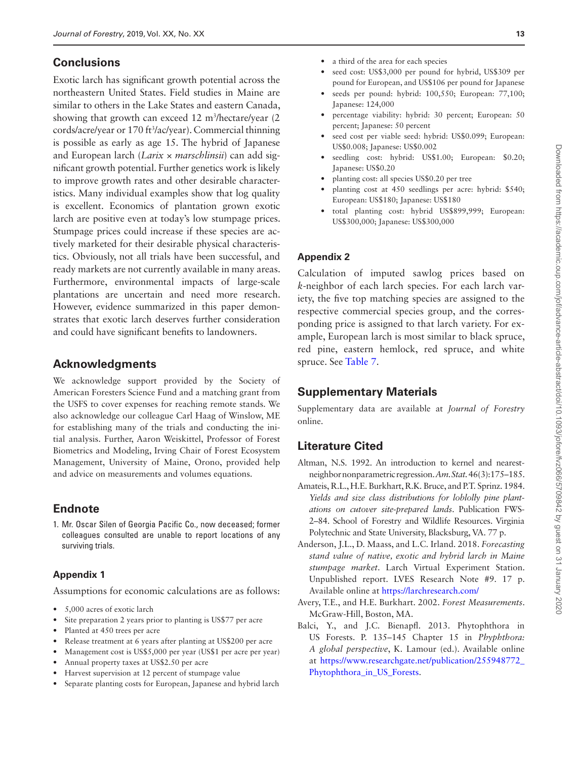## **Conclusions**

Exotic larch has significant growth potential across the northeastern United States. Field studies in Maine are similar to others in the Lake States and eastern Canada, showing that growth can exceed 12 m<sup>3</sup>/hectare/year (2 cords/acre/year or 170 ft3 /ac/year). Commercial thinning is possible as early as age 15. The hybrid of Japanese and European larch (*Larix* × *marschlinsii*) can add significant growth potential. Further genetics work is likely to improve growth rates and other desirable characteristics. Many individual examples show that log quality is excellent. Economics of plantation grown exotic larch are positive even at today's low stumpage prices. Stumpage prices could increase if these species are actively marketed for their desirable physical characteristics. Obviously, not all trials have been successful, and ready markets are not currently available in many areas. Furthermore, environmental impacts of large-scale plantations are uncertain and need more research. However, evidence summarized in this paper demonstrates that exotic larch deserves further consideration and could have significant benefits to landowners.

## **Acknowledgments**

We acknowledge support provided by the Society of American Foresters Science Fund and a matching grant from the USFS to cover expenses for reaching remote stands. We also acknowledge our colleague Carl Haag of Winslow, ME for establishing many of the trials and conducting the initial analysis. Further, Aaron Weiskittel, Professor of Forest Biometrics and Modeling, Irving Chair of Forest Ecosystem Management, University of Maine, Orono, provided help and advice on measurements and volumes equations.

# <span id="page-12-0"></span>**Endnote**

1. Mr. Oscar Silen of Georgia Pacific Co., now deceased; former colleagues consulted are unable to report locations of any surviving trials.

### <span id="page-12-6"></span>**Appendix 1**

Assumptions for economic calculations are as follows:

- 5,000 acres of exotic larch
- Site preparation 2 years prior to planting is US\$77 per acre
- Planted at 450 trees per acre
- Release treatment at 6 years after planting at US\$200 per acre
- Management cost is US\$5,000 per year (US\$1 per acre per year)
- Annual property taxes at US\$2.50 per acre
- Harvest supervision at 12 percent of stumpage value
- Separate planting costs for European, Japanese and hybrid larch
- a third of the area for each species
- seed cost: US\$3,000 per pound for hybrid, US\$309 per pound for European, and US\$106 per pound for Japanese
- seeds per pound: hybrid: 100,550; European: 77,100; Japanese: 124,000
- percentage viability: hybrid: 30 percent; European: 50 percent; Japanese: 50 percent
- seed cost per viable seed: hybrid: US\$0.099; European: US\$0.008; Japanese: US\$0.002
- seedling cost: hybrid: US\$1.00; European: \$0.20; Japanese: US\$0.20
- planting cost: all species US\$0.20 per tree
- planting cost at 450 seedlings per acre: hybrid: \$540; European: US\$180; Japanese: US\$180
- total planting cost: hybrid US\$899,999; European: US\$300,000; Japanese: US\$300,000

## **Appendix 2**

Calculation of imputed sawlog prices based on *k*-neighbor of each larch species. For each larch variety, the five top matching species are assigned to the respective commercial species group, and the corresponding price is assigned to that larch variety. For example, European larch is most similar to black spruce, red pine, eastern hemlock, red spruce, and white spruce. See [Table 7.](#page-10-0)

# **Supplementary Materials**

Supplementary data are available at *Journal of Forestry* online.

# **Literature Cited**

- <span id="page-12-5"></span>Altman, N.S. 1992. An introduction to kernel and nearestneighbor nonparametric regression. *Am. Stat.* 46(3):175–185.
- <span id="page-12-2"></span>Amateis, R.L., H.E. Burkhart, R.K. Bruce, and P.T. Sprinz. 1984. *Yields and size class distributions for loblolly pine plantations on cutover site-prepared lands*. Publication FWS-2–84. School of Forestry and Wildlife Resources. Virginia Polytechnic and State University, Blacksburg, VA. 77 p.
- <span id="page-12-4"></span>Anderson, J.L., D. Maass, and L.C. Irland. 2018. *Forecasting stand value of native, exotic and hybrid larch in Maine stumpage market*. Larch Virtual Experiment Station. Unpublished report. LVES Research Note #9. 17 p. Available online at [https://larchresearch.com/](https://larchresearch.com/﻿)
- <span id="page-12-3"></span>Avery, T.E., and H.E. Burkhart. 2002. *Forest Measurements*. McGraw-Hill, Boston, MA.
- <span id="page-12-1"></span>Balci, Y., and J.C. Bienapfl. 2013. Phytophthora in US Forests. P. 135–145 Chapter 15 in *Phyphthora: A global perspective*, K. Lamour (ed.). Available online at [https://www.researchgate.net/publication/255948772\\_](https://www.researchgate.net/publication/255948772_Phytophthora_in_US_Forests﻿)  [Phytophthora\\_in\\_US\\_Forests.](https://www.researchgate.net/publication/255948772_Phytophthora_in_US_Forests﻿)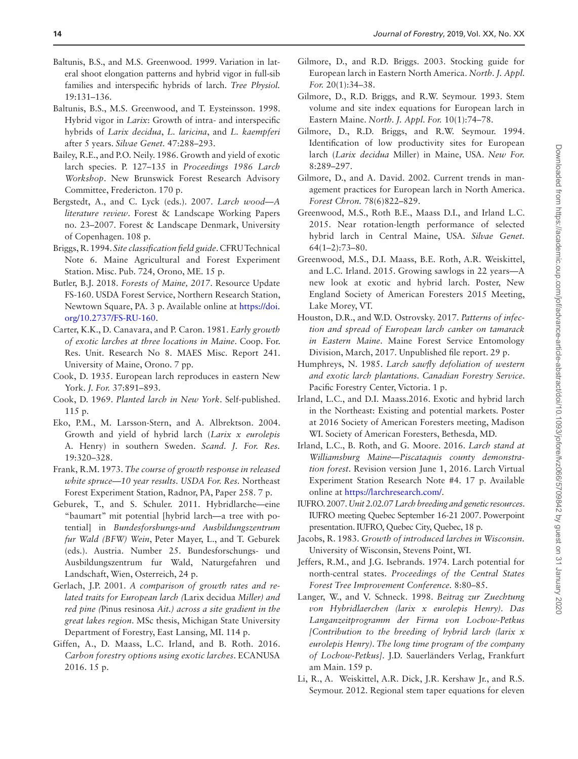- <span id="page-13-17"></span>Baltunis, B.S., and M.S. Greenwood. 1999. Variation in lateral shoot elongation patterns and hybrid vigor in full-sib families and interspecific hybrids of larch. *Tree Physiol.* 19:131–136.
- <span id="page-13-16"></span>Baltunis, B.S., M.S. Greenwood, and T. Eysteinsson. 1998. Hybrid vigor in *Larix*: Growth of intra- and interspecific hybrids of *Larix decidua*, *L. laricina*, and *L. kaempferi* after 5 years. *Silvae Genet.* 47:288–293.
- <span id="page-13-5"></span>Bailey, R.E., and P.O. Neily. 1986. Growth and yield of exotic larch species. P. 127–135 in *Proceedings 1986 Larch Workshop*. New Brunswick Forest Research Advisory Committee, Fredericton. 170 p.
- <span id="page-13-2"></span>Bergstedt, A., and C. Lyck (eds.). 2007. *Larch wood—A literature review*. Forest & Landscape Working Papers no. 23–2007. Forest & Landscape Denmark, University of Copenhagen. 108 p.
- <span id="page-13-19"></span>Briggs, R. 1994. *Site classification field guide*. CFRU Technical Note 6. Maine Agricultural and Forest Experiment Station. Misc. Pub. 724, Orono, ME. 15 p.
- <span id="page-13-11"></span>Butler, B.J. 2018. *Forests of Maine, 2017*. Resource Update FS-160. USDA Forest Service, Northern Research Station, Newtown Square, PA. 3 p. Available online at [https://doi.](https://doi.org/10.2737/FS-RU-160) [org/10.2737/FS-RU-160](https://doi.org/10.2737/FS-RU-160).
- <span id="page-13-0"></span>Carter, K.K., D. Canavara, and P. Caron. 1981. *Early growth of exotic larches at three locations in Maine*. Coop. For. Res. Unit. Research No 8. MAES Misc. Report 241. University of Maine, Orono. 7 pp.
- Cook, D. 1935. European larch reproduces in eastern New York. *J. For.* 37:891–893.
- <span id="page-13-23"></span>Cook, D. 1969. *Planted larch in New York*. Self-published. 115 p.
- <span id="page-13-3"></span>Eko, P.M., M. Larsson-Stern, and A. Albrektson. 2004. Growth and yield of hybrid larch (*Larix x eurolepis* A. Henry) in southern Sweden. *Scand. J. For. Res.* 19:320–328.
- <span id="page-13-18"></span>Frank, R.M. 1973. *The course of growth response in released white spruce—10 year results*. *USDA For. Res.* Northeast Forest Experiment Station, Radnor, PA, Paper 258. 7 p.
- <span id="page-13-4"></span>Geburek, T., and S. Schuler. 2011. Hybridlarche—eine "baumart" mit potential [hybrid larch—a tree with potential] in *Bundesforshungs-und Ausbildungszentrum fur Wald (BFW) Wein*, Peter Mayer, L., and T. Geburek (eds.). Austria. Number 25. Bundesforschungs- und Ausbildungszentrum fur Wald, Naturgefahren und Landschaft, Wien, Osterreich, 24 p.
- <span id="page-13-8"></span>Gerlach, J.P. 2001. *A comparison of growth rates and related traits for European larch (*Larix decidua *Miller) and red pine (*Pinus resinosa *Ait.) across a site gradient in the great lakes region*. MSc thesis, Michigan State University Department of Forestry, East Lansing, MI. 114 p.
- <span id="page-13-9"></span>Giffen, A., D. Maass, L.C. Irland, and B. Roth. 2016. *Carbon forestry options using exotic larches*. ECANUSA 2016. 15 p.
- <span id="page-13-12"></span>Gilmore, D., and R.D. Briggs. 2003. Stocking guide for European larch in Eastern North America. *North. J. Appl. For.* 20(1):34–38.
- <span id="page-13-20"></span>Gilmore, D., R.D. Briggs, and R.W. Seymour. 1993. Stem volume and site index equations for European larch in Eastern Maine. *North. J. Appl. For.* 10(1):74–78.
- <span id="page-13-21"></span>Gilmore, D., R.D. Briggs, and R.W. Seymour. 1994. Identification of low productivity sites for European larch (*Larix decidua* Miller) in Maine, USA. *New For.* 8:289–297.
- <span id="page-13-22"></span>Gilmore, D., and A. David. 2002. Current trends in management practices for European larch in North America. *Forest Chron.* 78(6)822–829.
- Greenwood, M.S., Roth B.E., Maass D.I., and Irland L.C. 2015. Near rotation-length performance of selected hybrid larch in Central Maine, USA*. Silvae Genet.* 64(1–2):73–80.
- <span id="page-13-13"></span>Greenwood, M.S., D.I. Maass, B.E. Roth, A.R. Weiskittel, and L.C. Irland. 2015. Growing sawlogs in 22 years—A new look at exotic and hybrid larch. Poster, New England Society of American Foresters 2015 Meeting, Lake Morey, VT.
- <span id="page-13-25"></span>Houston, D.R., and W.D. Ostrovsky. 2017. *Patterns of infection and spread of European larch canker on tamarack in Eastern Maine*. Maine Forest Service Entomology Division, March, 2017. Unpublished file report. 29 p.
- <span id="page-13-24"></span>Humphreys, N. 1985. *Larch sawfly defoliation of western and exotic larch plantations. Canadian Forestry Service*. Pacific Forestry Center, Victoria. 1 p.
- Irland, L.C., and D.I. Maass.2016. Exotic and hybrid larch in the Northeast: Existing and potential markets. Poster at 2016 Society of American Foresters meeting, Madison WI. Society of American Foresters, Bethesda, MD.
- <span id="page-13-14"></span>Irland, L.C., B. Roth, and G. Moore. 2016. *Larch stand at Williamsburg Maine—Piscataquis county demonstration forest*. Revision version June 1, 2016. Larch Virtual Experiment Station Research Note #4. 17 p. Available online at [https://larchresearch.com/](https://larchresearch.com/﻿).
- <span id="page-13-1"></span>IUFRO. 2007. *Unit 2.02.07 Larch breeding and genetic resources*. IUFRO meeting Quebec September 16-21 2007. Powerpoint presentation. IUFRO, Quebec City, Quebec, 18 p.
- <span id="page-13-6"></span>Jacobs, R. 1983. *Growth of introduced larches in Wisconsin.* University of Wisconsin, Stevens Point, WI.
- <span id="page-13-7"></span>Jeffers, R.M., and J.G. Isebrands. 1974. Larch potential for north-central states. *Proceedings of the Central States Forest Tree Improvement Conference.* 8:80–85.
- <span id="page-13-15"></span>Langer, W., and V. Schneck. 1998. *Beitrag zur Zuechtung von Hybridlaerchen (larix x eurolepis Henry). Das Langanzeitprogramm der Firma von Lochow-Petkus [Contribution to the breeding of hybrid larch (larix x eurolepis Henry). The long time program of the company of Lochow-Petkus]*. J.D. Sauerländers Verlag, Frankfurt am Main. 159 p.
- <span id="page-13-10"></span>Li, R., A. Weiskittel, A.R. Dick, J.R. Kershaw Jr., and R.S. Seymour. 2012. Regional stem taper equations for eleven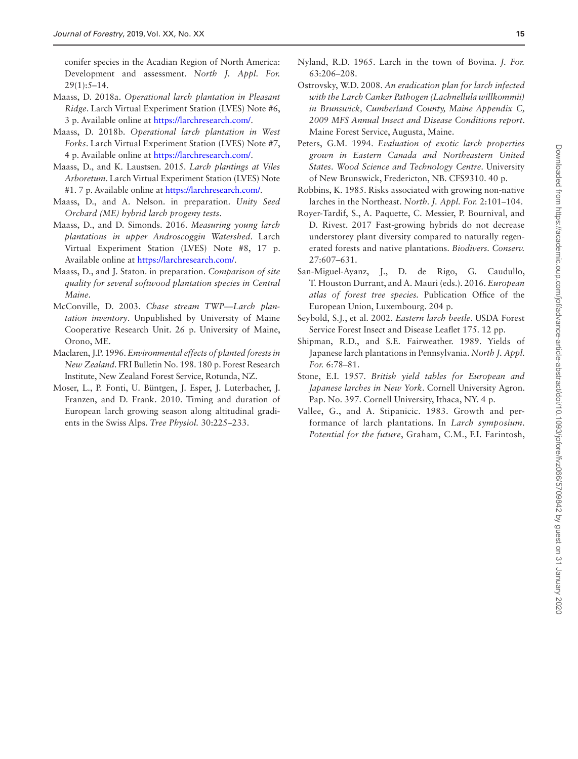conifer species in the Acadian Region of North America: Development and assessment. *North J. Appl. For.* 29(1):5–14.

- <span id="page-14-9"></span>Maass, D. 2018a. *Operational larch plantation in Pleasant Ridge*. Larch Virtual Experiment Station (LVES) Note #6, 3 p. Available online at [https://larchresearch.com/](https://larchresearch.com/﻿).
- Maass, D. 2018b. *Operational larch plantation in West Forks*. Larch Virtual Experiment Station (LVES) Note #7, 4 p. Available online at [https://larchresearch.com/](https://larchresearch.com/﻿).
- <span id="page-14-8"></span>Maass, D., and K. Laustsen. 2015. *Larch plantings at Viles Arboretum*. Larch Virtual Experiment Station (LVES) Note #1. 7 p. Available online at [https://larchresearch.com/](https://larchresearch.com/﻿).
- Maass, D., and A. Nelson. in preparation. *Unity Seed Orchard (ME) hybrid larch progeny tests*.
- <span id="page-14-7"></span>Maass, D., and D. Simonds. 2016. *Measuring young larch plantations in upper Androscoggin Watershed*. Larch Virtual Experiment Station (LVES) Note #8, 17 p. Available online at [https://larchresearch.com/](https://larchresearch.com/﻿).
- Maass, D., and J. Staton. in preparation. *Comparison of site quality for several softwood plantation species in Central Maine*.
- <span id="page-14-6"></span>McConville, D. 2003. *Chase stream TWP—Larch plantation inventory*. Unpublished by University of Maine Cooperative Research Unit. 26 p. University of Maine, Orono, ME.
- <span id="page-14-5"></span>Maclaren, J.P. 1996. *Environmental effects of planted forests in New Zealand*. FRI Bulletin No. 198. 180 p. Forest Research Institute, New Zealand Forest Service, Rotunda, NZ.
- <span id="page-14-11"></span>Moser, L., P. Fonti, U. Büntgen, J. Esper, J. Luterbacher, J. Franzen, and D. Frank. 2010. Timing and duration of European larch growing season along altitudinal gradients in the Swiss Alps. *Tree Physiol.* 30:225–233.
- <span id="page-14-0"></span>Nyland, R.D. 1965. Larch in the town of Bovina. *J. For.* 63:206–208.
- <span id="page-14-15"></span>Ostrovsky, W.D. 2008. *An eradication plan for larch infected with the Larch Canker Pathogen (Lachnellula willkommii) in Brunswick, Cumberland County, Maine Appendix C, 2009 MFS Annual Insect and Disease Conditions report*. Maine Forest Service, Augusta, Maine.
- <span id="page-14-10"></span>Peters, G.M. 1994. *Evaluation of exotic larch properties grown in Eastern Canada and Northeastern United States*. *Wood Science and Technology Centre*. University of New Brunswick, Fredericton, NB. CFS9310. 40 p.
- <span id="page-14-13"></span>Robbins, K. 1985. Risks associated with growing non-native larches in the Northeast. *North. J. Appl. For.* 2:101–104.
- <span id="page-14-12"></span>Royer-Tardif, S., A. Paquette, C. Messier, P. Bournival, and D. Rivest. 2017 Fast-growing hybrids do not decrease understorey plant diversity compared to naturally regenerated forests and native plantations. *Biodivers. Conserv.* 27:607–631.
- <span id="page-14-3"></span>San-Miguel-Ayanz, J., D. de Rigo, G. Caudullo, T. Houston Durrant, and A. Mauri (eds.). 2016. *European atlas of forest tree species.* Publication Office of the European Union, Luxembourg. 204 p.
- <span id="page-14-14"></span>Seybold, S.J., et al. 2002. *Eastern larch beetle*. USDA Forest Service Forest Insect and Disease Leaflet 175. 12 pp.
- <span id="page-14-2"></span>Shipman, R.D., and S.E. Fairweather. 1989. Yields of Japanese larch plantations in Pennsylvania. *North J. Appl. For.* 6:78–81.
- <span id="page-14-1"></span>Stone, E.I. 1957. *British yield tables for European and Japanese larches in New York*. Cornell University Agron. Pap. No. 397. Cornell University, Ithaca, NY. 4 p.
- <span id="page-14-4"></span>Vallee, G., and A. Stipanicic. 1983. Growth and performance of larch plantations. In *Larch symposium. Potential for the future*, Graham, C.M., F.I. Farintosh,